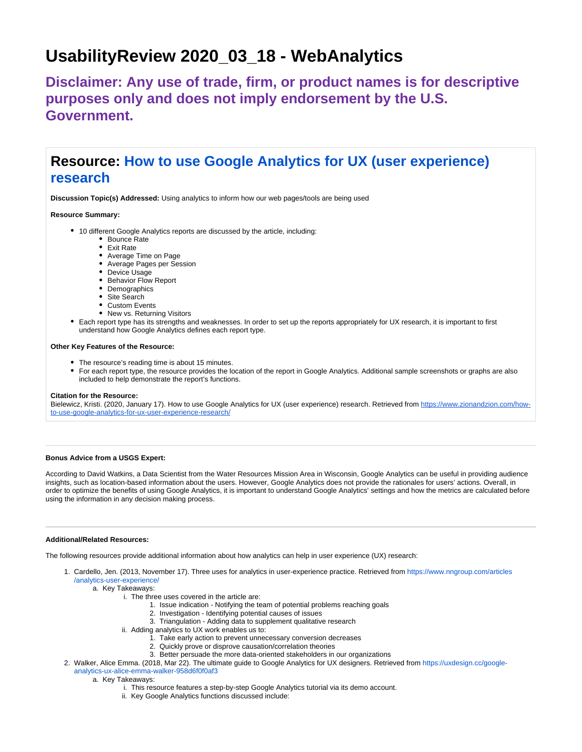# **UsabilityReview 2020\_03\_18 - WebAnalytics**

**Disclaimer: Any use of trade, firm, or product names is for descriptive purposes only and does not imply endorsement by the U.S. Government.**

## **Resource: [How to use Google Analytics for UX \(user experience\)](https://www.zionandzion.com/how-to-use-google-analytics-for-ux-user-experience-research/)  [research](https://www.zionandzion.com/how-to-use-google-analytics-for-ux-user-experience-research/)**

**Discussion Topic(s) Addressed:** Using analytics to inform how our web pages/tools are being used

#### **Resource Summary:**

- 10 different Google Analytics reports are discussed by the article, including:
	- Bounce Rate
	- Exit Rate
	- Average Time on Page
	- Average Pages per Session
	- Device Usage
	- Behavior Flow Report
	- Demographics
	- Site Search
	- Custom Events
	- New vs. Returning Visitors
- Each report type has its strengths and weaknesses. In order to set up the reports appropriately for UX research, it is important to first understand how Google Analytics defines each report type.

#### **Other Key Features of the Resource:**

- The resource's reading time is about 15 minutes.
- For each report type, the resource provides the location of the report in Google Analytics. Additional sample screenshots or graphs are also included to help demonstrate the report's functions.

#### **Citation for the Resource:**

Bielewicz, Kristi. (2020, January 17). How to use Google Analytics for UX (user experience) research. Retrieved from [https://www.zionandzion.com/how](https://www.zionandzion.com/how-to-use-google-analytics-for-ux-user-experience-research/%EF%BF%BDHYPERLINK%20%22https://uxdesign.cc/google-analytics-ux-alice-emma-walker-958d6f0f0af3%22)[to-use-google-analytics-for-ux-user-experience-research/](https://www.zionandzion.com/how-to-use-google-analytics-for-ux-user-experience-research/%EF%BF%BDHYPERLINK%20%22https://uxdesign.cc/google-analytics-ux-alice-emma-walker-958d6f0f0af3%22)

#### **Bonus Advice from a USGS Expert:**

According to David Watkins, a Data Scientist from the Water Resources Mission Area in Wisconsin, Google Analytics can be useful in providing audience insights, such as location-based information about the users. However, Google Analytics does not provide the rationales for users' actions. Overall, in order to optimize the benefits of using Google Analytics, it is important to understand Google Analytics' settings and how the metrics are calculated before using the information in any decision making process.

#### **Additional/Related Resources:**

The following resources provide additional information about how analytics can help in user experience (UX) research:

1. Cardello, Jen. (2013, November 17). Three uses for analytics in user-experience practice. Retrieved from [https://www.nngroup.com/articles](https://www.nngroup.com/articles/analytics-user-experience/) [/analytics-user-experience/](https://www.nngroup.com/articles/analytics-user-experience/)

### a. Key Takeaways:

- i. The three uses covered in the article are:
	- 1. Issue indication Notifying the team of potential problems reaching goals
	- 2. Investigation Identifying potential causes of issues
	- 3. Triangulation Adding data to supplement qualitative research
	- ii. Adding analytics to UX work enables us to:
		- 1. Take early action to prevent unnecessary conversion decreases
		- 2. Quickly prove or disprove causation/correlation theories
		- 3. Better persuade the more data-oriented stakeholders in our organizations
- 2. Walker, Alice Emma. (2018, Mar 22). The ultimate guide to Google Analytics for UX designers. Retrieved from [https://uxdesign.cc/google](https://uxdesign.cc/google-analytics-ux-alice-emma-walker-958d6f0f0af3)[analytics-ux-alice-emma-walker-958d6f0f0af3](https://uxdesign.cc/google-analytics-ux-alice-emma-walker-958d6f0f0af3)
	- a. Key Takeaways:
		- i. This resource features a step-by-step Google Analytics tutorial via its demo account.
		- ii. Key Google Analytics functions discussed include: